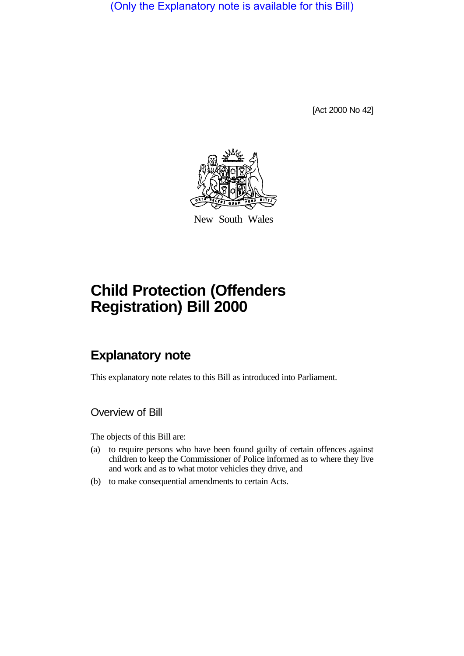(Only the Explanatory note is available for this Bill)

[Act 2000 No 42]



New South Wales

# **Child Protection (Offenders Registration) Bill 2000**

# **Explanatory note**

This explanatory note relates to this Bill as introduced into Parliament.

Overview of Bill

The objects of this Bill are:

- (a) to require persons who have been found guilty of certain offences against children to keep the Commissioner of Police informed as to where they live and work and as to what motor vehicles they drive, and
- (b) to make consequential amendments to certain Acts.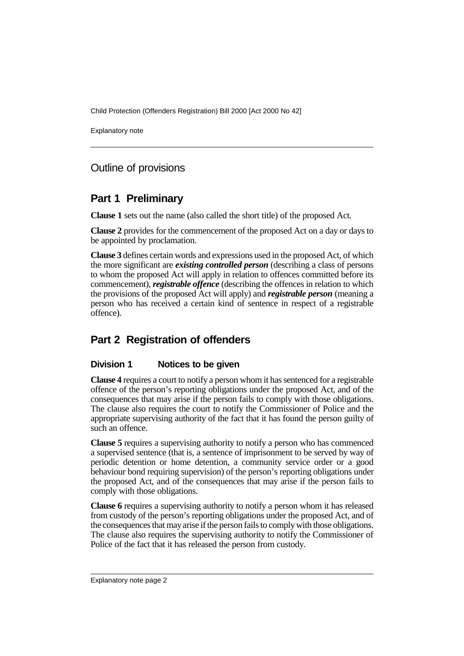Explanatory note

# Outline of provisions

# **Part 1 Preliminary**

**Clause 1** sets out the name (also called the short title) of the proposed Act.

**Clause 2** provides for the commencement of the proposed Act on a day or days to be appointed by proclamation.

**Clause 3** defines certain words and expressions used in the proposed Act, of which the more significant are *existing controlled person* (describing a class of persons to whom the proposed Act will apply in relation to offences committed before its commencement), *registrable offence* (describing the offences in relation to which the provisions of the proposed Act will apply) and *registrable person* (meaning a person who has received a certain kind of sentence in respect of a registrable offence).

# **Part 2 Registration of offenders**

#### **Division 1 Notices to be given**

**Clause 4** requires a court to notify a person whom it has sentenced for a registrable offence of the person's reporting obligations under the proposed Act, and of the consequences that may arise if the person fails to comply with those obligations. The clause also requires the court to notify the Commissioner of Police and the appropriate supervising authority of the fact that it has found the person guilty of such an offence.

**Clause 5** requires a supervising authority to notify a person who has commenced a supervised sentence (that is, a sentence of imprisonment to be served by way of periodic detention or home detention, a community service order or a good behaviour bond requiring supervision) of the person's reporting obligations under the proposed Act, and of the consequences that may arise if the person fails to comply with those obligations.

**Clause 6** requires a supervising authority to notify a person whom it has released from custody of the person's reporting obligations under the proposed Act, and of the consequences that may arise if the person fails to comply with those obligations. The clause also requires the supervising authority to notify the Commissioner of Police of the fact that it has released the person from custody.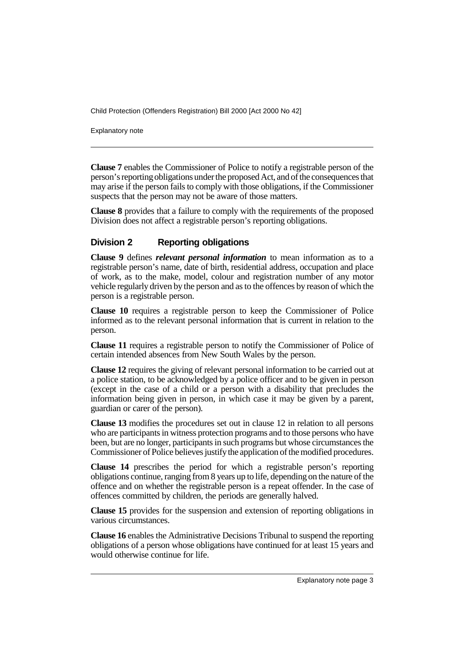Explanatory note

**Clause 7** enables the Commissioner of Police to notify a registrable person of the person's reporting obligations under the proposed Act, and of the consequences that may arise if the person fails to comply with those obligations, if the Commissioner suspects that the person may not be aware of those matters.

**Clause 8** provides that a failure to comply with the requirements of the proposed Division does not affect a registrable person's reporting obligations.

#### **Division 2 Reporting obligations**

**Clause 9** defines *relevant personal information* to mean information as to a registrable person's name, date of birth, residential address, occupation and place of work, as to the make, model, colour and registration number of any motor vehicle regularly driven by the person and as to the offences by reason of which the person is a registrable person.

**Clause 10** requires a registrable person to keep the Commissioner of Police informed as to the relevant personal information that is current in relation to the person.

**Clause 11** requires a registrable person to notify the Commissioner of Police of certain intended absences from New South Wales by the person.

**Clause 12** requires the giving of relevant personal information to be carried out at a police station, to be acknowledged by a police officer and to be given in person (except in the case of a child or a person with a disability that precludes the information being given in person, in which case it may be given by a parent, guardian or carer of the person).

**Clause 13** modifies the procedures set out in clause 12 in relation to all persons who are participants in witness protection programs and to those persons who have been, but are no longer, participants in such programs but whose circumstances the Commissioner of Police believes justify the application of the modified procedures.

**Clause 14** prescribes the period for which a registrable person's reporting obligations continue, ranging from 8 years up to life, depending on the nature of the offence and on whether the registrable person is a repeat offender. In the case of offences committed by children, the periods are generally halved.

**Clause 15** provides for the suspension and extension of reporting obligations in various circumstances.

**Clause 16** enables the Administrative Decisions Tribunal to suspend the reporting obligations of a person whose obligations have continued for at least 15 years and would otherwise continue for life.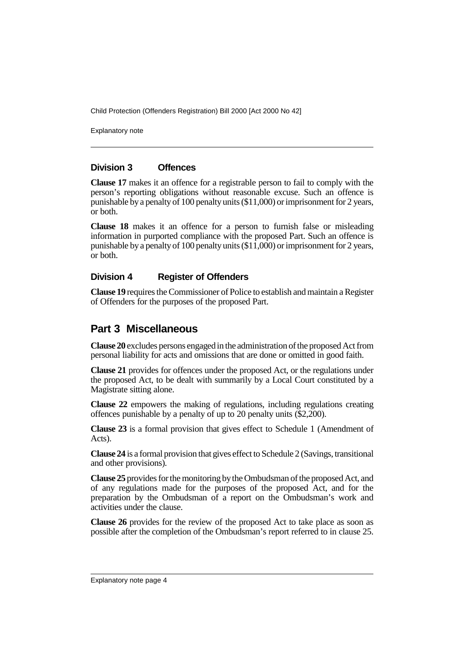Explanatory note

#### **Division 3 Offences**

**Clause 17** makes it an offence for a registrable person to fail to comply with the person's reporting obligations without reasonable excuse. Such an offence is punishable by a penalty of 100 penalty units (\$11,000) or imprisonment for 2 years, or both.

**Clause 18** makes it an offence for a person to furnish false or misleading information in purported compliance with the proposed Part. Such an offence is punishable by a penalty of 100 penalty units (\$11,000) or imprisonment for 2 years, or both.

#### **Division 4 Register of Offenders**

**Clause 19** requires the Commissioner of Police to establish and maintain a Register of Offenders for the purposes of the proposed Part.

### **Part 3 Miscellaneous**

**Clause 20** excludes persons engaged in the administration of the proposed Act from personal liability for acts and omissions that are done or omitted in good faith.

**Clause 21** provides for offences under the proposed Act, or the regulations under the proposed Act, to be dealt with summarily by a Local Court constituted by a Magistrate sitting alone.

**Clause 22** empowers the making of regulations, including regulations creating offences punishable by a penalty of up to 20 penalty units (\$2,200).

**Clause 23** is a formal provision that gives effect to Schedule 1 (Amendment of Acts).

**Clause 24** is a formal provision that gives effect to Schedule 2 (Savings, transitional and other provisions).

**Clause 25** provides for the monitoring by the Ombudsman of the proposed Act, and of any regulations made for the purposes of the proposed Act, and for the preparation by the Ombudsman of a report on the Ombudsman's work and activities under the clause.

**Clause 26** provides for the review of the proposed Act to take place as soon as possible after the completion of the Ombudsman's report referred to in clause 25.